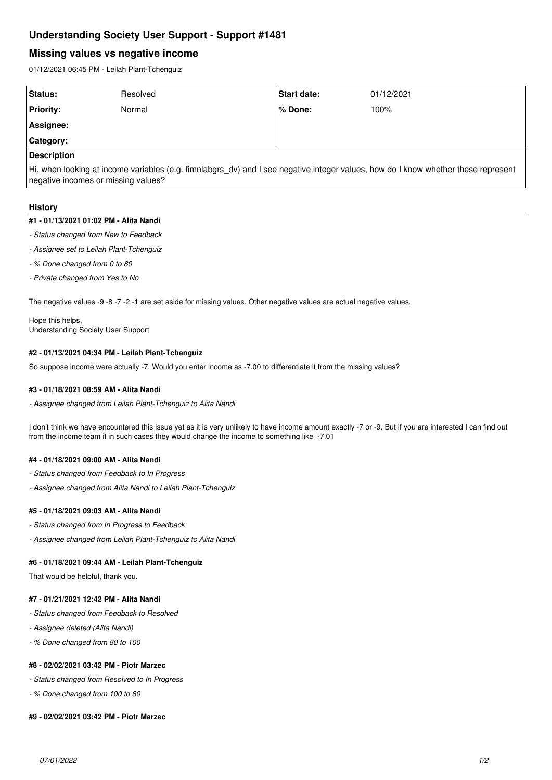# **Understanding Society User Support - Support #1481**

## **Missing values vs negative income**

01/12/2021 06:45 PM - Leilah Plant-Tchenguiz

| Status:            | Resolved | Start date: | 01/12/2021 |
|--------------------|----------|-------------|------------|
| <b>Priority:</b>   | Normal   | l % Done:   | 100%       |
| Assignee:          |          |             |            |
| Category:          |          |             |            |
| <b>Description</b> |          |             |            |

Hi, when looking at income variables (e.g. fimnlabgrs\_dv) and I see negative integer values, how do I know whether these represent negative incomes or missing values?

#### **History**

#### **#1 - 01/13/2021 01:02 PM - Alita Nandi**

- *Status changed from New to Feedback*
- *Assignee set to Leilah Plant-Tchenguiz*
- *% Done changed from 0 to 80*
- *Private changed from Yes to No*

The negative values -9 -8 -7 -2 -1 are set aside for missing values. Other negative values are actual negative values.

Hope this helps. Understanding Society User Support

#### **#2 - 01/13/2021 04:34 PM - Leilah Plant-Tchenguiz**

So suppose income were actually -7. Would you enter income as -7.00 to differentiate it from the missing values?

#### **#3 - 01/18/2021 08:59 AM - Alita Nandi**

*- Assignee changed from Leilah Plant-Tchenguiz to Alita Nandi*

I don't think we have encountered this issue yet as it is very unlikely to have income amount exactly -7 or -9. But if you are interested I can find out from the income team if in such cases they would change the income to something like -7.01

#### **#4 - 01/18/2021 09:00 AM - Alita Nandi**

- *Status changed from Feedback to In Progress*
- *Assignee changed from Alita Nandi to Leilah Plant-Tchenguiz*

#### **#5 - 01/18/2021 09:03 AM - Alita Nandi**

- *Status changed from In Progress to Feedback*
- *Assignee changed from Leilah Plant-Tchenguiz to Alita Nandi*

### **#6 - 01/18/2021 09:44 AM - Leilah Plant-Tchenguiz**

That would be helpful, thank you.

#### **#7 - 01/21/2021 12:42 PM - Alita Nandi**

- *Status changed from Feedback to Resolved*
- *Assignee deleted (Alita Nandi)*
- *% Done changed from 80 to 100*

### **#8 - 02/02/2021 03:42 PM - Piotr Marzec**

*- Status changed from Resolved to In Progress*

*- % Done changed from 100 to 80*

#### **#9 - 02/02/2021 03:42 PM - Piotr Marzec**